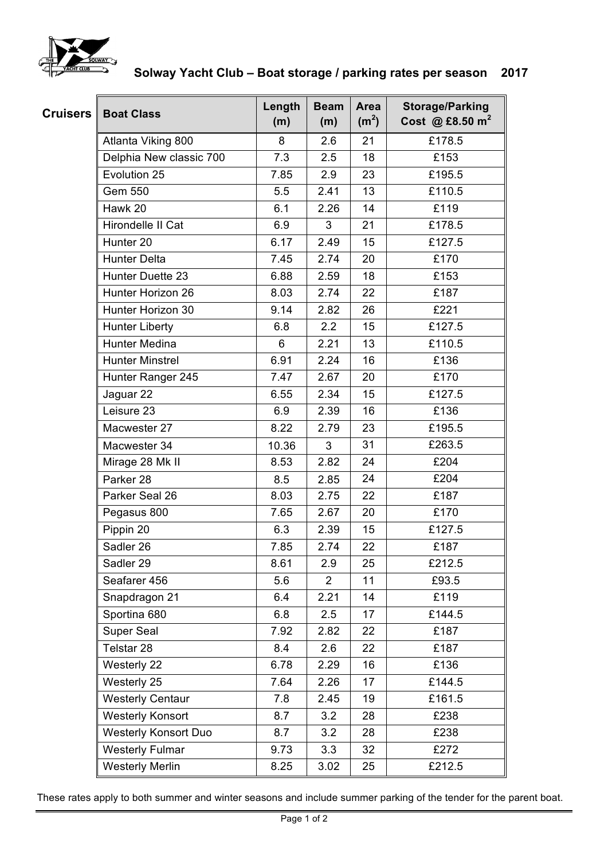

## **Solway Yacht Club – Boat storage / parking rates per season 2017**

| <b>Cruisers</b> | <b>Boat Class</b>           | Length<br>(m) | <b>Beam</b><br>(m) | Area<br>(m <sup>2</sup> ) | <b>Storage/Parking</b><br>Cost @ £8.50 $m^2$ |
|-----------------|-----------------------------|---------------|--------------------|---------------------------|----------------------------------------------|
|                 | Atlanta Viking 800          | 8             | 2.6                | 21                        | £178.5                                       |
|                 | Delphia New classic 700     | 7.3           | 2.5                | 18                        | £153                                         |
|                 | Evolution 25                | 7.85          | 2.9                | 23                        | £195.5                                       |
|                 | Gem 550                     | 5.5           | 2.41               | 13                        | £110.5                                       |
|                 | Hawk 20                     | 6.1           | 2.26               | 14                        | £119                                         |
|                 | Hirondelle II Cat           | 6.9           | 3                  | 21                        | £178.5                                       |
|                 | Hunter <sub>20</sub>        | 6.17          | 2.49               | 15                        | £127.5                                       |
|                 | <b>Hunter Delta</b>         | 7.45          | 2.74               | 20                        | £170                                         |
|                 | Hunter Duette 23            | 6.88          | 2.59               | 18                        | £153                                         |
|                 | Hunter Horizon 26           | 8.03          | 2.74               | 22                        | £187                                         |
|                 | Hunter Horizon 30           | 9.14          | 2.82               | 26                        | £221                                         |
|                 | <b>Hunter Liberty</b>       | 6.8           | 2.2                | 15                        | £127.5                                       |
|                 | <b>Hunter Medina</b>        | 6             | 2.21               | 13                        | £110.5                                       |
|                 | <b>Hunter Minstrel</b>      | 6.91          | 2.24               | 16                        | £136                                         |
|                 | Hunter Ranger 245           | 7.47          | 2.67               | 20                        | £170                                         |
|                 | Jaguar 22                   | 6.55          | 2.34               | 15                        | £127.5                                       |
|                 | Leisure 23                  | 6.9           | 2.39               | 16                        | £136                                         |
|                 | Macwester 27                | 8.22          | 2.79               | 23                        | £195.5                                       |
|                 | Macwester 34                | 10.36         | 3                  | 31                        | £263.5                                       |
|                 | Mirage 28 Mk II             | 8.53          | 2.82               | 24                        | £204                                         |
|                 | Parker 28                   | 8.5           | 2.85               | 24                        | £204                                         |
|                 | Parker Seal 26              | 8.03          | 2.75               | 22                        | £187                                         |
|                 | Pegasus 800                 | 7.65          | 2.67               | 20                        | £170                                         |
|                 | Pippin 20                   | 6.3           | 2.39               | 15                        | £127.5                                       |
|                 | Sadler 26                   | 7.85          | 2.74               | 22                        | £187                                         |
|                 | Sadler 29                   | 8.61          | 2.9                | 25                        | £212.5                                       |
|                 | Seafarer 456                | 5.6           | 2                  | 11                        | £93.5                                        |
|                 | Snapdragon 21               | 6.4           | 2.21               | 14                        | £119                                         |
|                 | Sportina 680                | 6.8           | 2.5                | 17                        | £144.5                                       |
|                 | Super Seal                  | 7.92          | 2.82               | 22                        | £187                                         |
|                 | Telstar 28                  | 8.4           | 2.6                | 22                        | £187                                         |
|                 | Westerly 22                 | 6.78          | 2.29               | 16                        | £136                                         |
|                 | Westerly 25                 | 7.64          | 2.26               | 17                        | £144.5                                       |
|                 | <b>Westerly Centaur</b>     | 7.8           | 2.45               | 19                        | £161.5                                       |
|                 | <b>Westerly Konsort</b>     | 8.7           | 3.2                | 28                        | £238                                         |
|                 | <b>Westerly Konsort Duo</b> | 8.7           | 3.2                | 28                        | £238                                         |
|                 | <b>Westerly Fulmar</b>      | 9.73          | 3.3                | 32                        | £272                                         |
|                 | <b>Westerly Merlin</b>      | 8.25          | 3.02               | 25                        | £212.5                                       |

These rates apply to both summer and winter seasons and include summer parking of the tender for the parent boat.